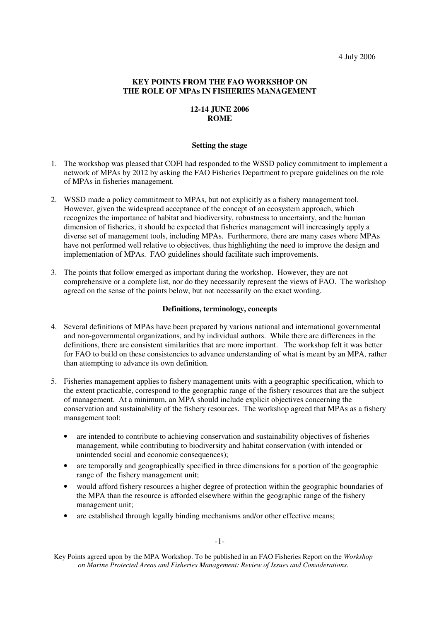## **KEY POINTS FROM THE FAO WORKSHOP ON THE ROLE OF MPAs IN FISHERIES MANAGEMENT**

# **12-14 JUNE 2006 ROME**

#### **Setting the stage**

- 1. The workshop was pleased that COFI had responded to the WSSD policy commitment to implement a network of MPAs by 2012 by asking the FAO Fisheries Department to prepare guidelines on the role of MPAs in fisheries management.
- 2. WSSD made a policy commitment to MPAs, but not explicitly as a fishery management tool. However, given the widespread acceptance of the concept of an ecosystem approach, which recognizes the importance of habitat and biodiversity, robustness to uncertainty, and the human dimension of fisheries, it should be expected that fisheries management will increasingly apply a diverse set of management tools, including MPAs. Furthermore, there are many cases where MPAs have not performed well relative to objectives, thus highlighting the need to improve the design and implementation of MPAs. FAO guidelines should facilitate such improvements.
- 3. The points that follow emerged as important during the workshop. However, they are not comprehensive or a complete list, nor do they necessarily represent the views of FAO. The workshop agreed on the sense of the points below, but not necessarily on the exact wording.

### **Definitions, terminology, concepts**

- 4. Several definitions of MPAs have been prepared by various national and international governmental and non-governmental organizations, and by individual authors. While there are differences in the definitions, there are consistent similarities that are more important. The workshop felt it was better for FAO to build on these consistencies to advance understanding of what is meant by an MPA, rather than attempting to advance its own definition.
- 5. Fisheries management applies to fishery management units with a geographic specification, which to the extent practicable, correspond to the geographic range of the fishery resources that are the subject of management. At a minimum, an MPA should include explicit objectives concerning the conservation and sustainability of the fishery resources. The workshop agreed that MPAs as a fishery management tool:
	- are intended to contribute to achieving conservation and sustainability objectives of fisheries management, while contributing to biodiversity and habitat conservation (with intended or unintended social and economic consequences);
	- are temporally and geographically specified in three dimensions for a portion of the geographic range of the fishery management unit;
	- would afford fishery resources a higher degree of protection within the geographic boundaries of the MPA than the resource is afforded elsewhere within the geographic range of the fishery management unit;
	- are established through legally binding mechanisms and/or other effective means;

Key Points agreed upon by the MPA Workshop. To be published in an FAO Fisheries Report on the *Workshop on Marine Protected Areas and Fisheries Management: Review of Issues and Considerations*.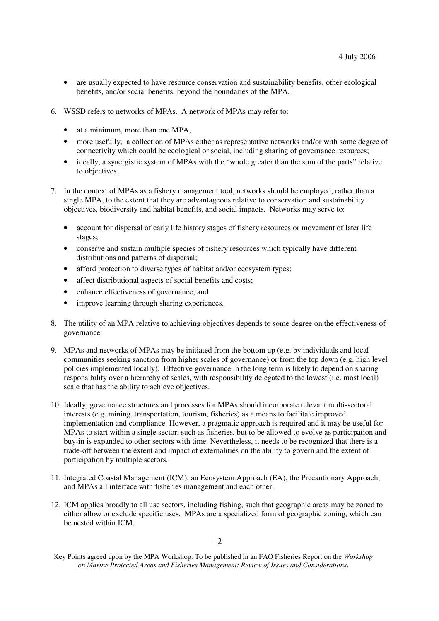- are usually expected to have resource conservation and sustainability benefits, other ecological benefits, and/or social benefits, beyond the boundaries of the MPA.
- 6. WSSD refers to networks of MPAs. A network of MPAs may refer to:
	- at a minimum, more than one MPA,
	- more usefully, a collection of MPAs either as representative networks and/or with some degree of connectivity which could be ecological or social, including sharing of governance resources;
	- ideally, a synergistic system of MPAs with the "whole greater than the sum of the parts" relative to objectives.
- 7. In the context of MPAs as a fishery management tool, networks should be employed, rather than a single MPA, to the extent that they are advantageous relative to conservation and sustainability objectives, biodiversity and habitat benefits, and social impacts. Networks may serve to:
	- account for dispersal of early life history stages of fishery resources or movement of later life stages;
	- conserve and sustain multiple species of fishery resources which typically have different distributions and patterns of dispersal;
	- afford protection to diverse types of habitat and/or ecosystem types;
	- affect distributional aspects of social benefits and costs;
	- enhance effectiveness of governance; and
	- improve learning through sharing experiences.
- 8. The utility of an MPA relative to achieving objectives depends to some degree on the effectiveness of governance.
- 9. MPAs and networks of MPAs may be initiated from the bottom up (e.g. by individuals and local communities seeking sanction from higher scales of governance) or from the top down (e.g. high level policies implemented locally). Effective governance in the long term is likely to depend on sharing responsibility over a hierarchy of scales, with responsibility delegated to the lowest (i.e. most local) scale that has the ability to achieve objectives.
- 10. Ideally, governance structures and processes for MPAs should incorporate relevant multi-sectoral interests (e.g. mining, transportation, tourism, fisheries) as a means to facilitate improved implementation and compliance. However, a pragmatic approach is required and it may be useful for MPAs to start within a single sector, such as fisheries, but to be allowed to evolve as participation and buy-in is expanded to other sectors with time. Nevertheless, it needs to be recognized that there is a trade-off between the extent and impact of externalities on the ability to govern and the extent of participation by multiple sectors.
- 11. Integrated Coastal Management (ICM), an Ecosystem Approach (EA), the Precautionary Approach, and MPAs all interface with fisheries management and each other.
- 12. ICM applies broadly to all use sectors, including fishing, such that geographic areas may be zoned to either allow or exclude specific uses. MPAs are a specialized form of geographic zoning, which can be nested within ICM.

Key Points agreed upon by the MPA Workshop. To be published in an FAO Fisheries Report on the *Workshop on Marine Protected Areas and Fisheries Management: Review of Issues and Considerations*.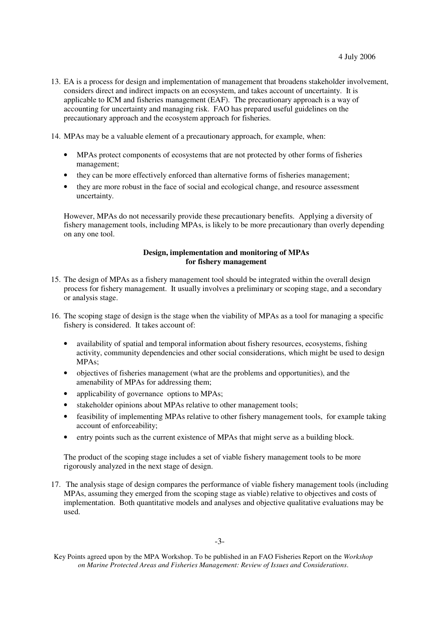- 13. EA is a process for design and implementation of management that broadens stakeholder involvement, considers direct and indirect impacts on an ecosystem, and takes account of uncertainty. It is applicable to ICM and fisheries management (EAF). The precautionary approach is a way of accounting for uncertainty and managing risk. FAO has prepared useful guidelines on the precautionary approach and the ecosystem approach for fisheries.
- 14. MPAs may be a valuable element of a precautionary approach, for example, when:
	- MPAs protect components of ecosystems that are not protected by other forms of fisheries management;
	- they can be more effectively enforced than alternative forms of fisheries management;
	- they are more robust in the face of social and ecological change, and resource assessment uncertainty.

However, MPAs do not necessarily provide these precautionary benefits. Applying a diversity of fishery management tools, including MPAs, is likely to be more precautionary than overly depending on any one tool.

## **Design, implementation and monitoring of MPAs for fishery management**

- 15. The design of MPAs as a fishery management tool should be integrated within the overall design process for fishery management. It usually involves a preliminary or scoping stage, and a secondary or analysis stage.
- 16. The scoping stage of design is the stage when the viability of MPAs as a tool for managing a specific fishery is considered. It takes account of:
	- availability of spatial and temporal information about fishery resources, ecosystems, fishing activity, community dependencies and other social considerations, which might be used to design MPAs;
	- objectives of fisheries management (what are the problems and opportunities), and the amenability of MPAs for addressing them;
	- applicability of governance options to MPAs;
	- stakeholder opinions about MPAs relative to other management tools;
	- feasibility of implementing MPAs relative to other fishery management tools, for example taking account of enforceability;
	- entry points such as the current existence of MPAs that might serve as a building block.

The product of the scoping stage includes a set of viable fishery management tools to be more rigorously analyzed in the next stage of design.

17. The analysis stage of design compares the performance of viable fishery management tools (including MPAs, assuming they emerged from the scoping stage as viable) relative to objectives and costs of implementation. Both quantitative models and analyses and objective qualitative evaluations may be used.

Key Points agreed upon by the MPA Workshop. To be published in an FAO Fisheries Report on the *Workshop on Marine Protected Areas and Fisheries Management: Review of Issues and Considerations*.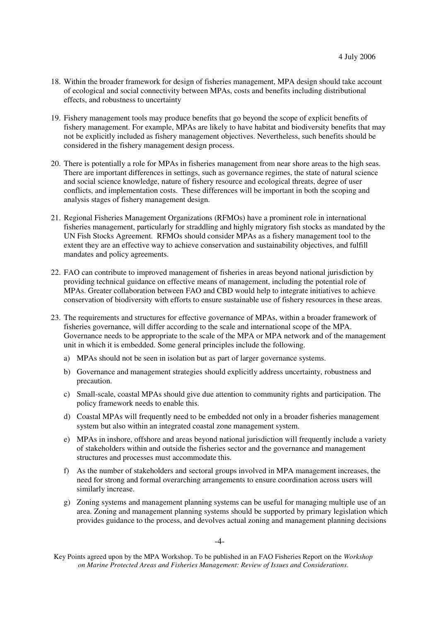- 18. Within the broader framework for design of fisheries management, MPA design should take account of ecological and social connectivity between MPAs, costs and benefits including distributional effects, and robustness to uncertainty
- 19. Fishery management tools may produce benefits that go beyond the scope of explicit benefits of fishery management. For example, MPAs are likely to have habitat and biodiversity benefits that may not be explicitly included as fishery management objectives. Nevertheless, such benefits should be considered in the fishery management design process.
- 20. There is potentially a role for MPAs in fisheries management from near shore areas to the high seas. There are important differences in settings, such as governance regimes, the state of natural science and social science knowledge, nature of fishery resource and ecological threats, degree of user conflicts, and implementation costs. These differences will be important in both the scoping and analysis stages of fishery management design.
- 21. Regional Fisheries Management Organizations (RFMOs) have a prominent role in international fisheries management, particularly for straddling and highly migratory fish stocks as mandated by the UN Fish Stocks Agreement. RFMOs should consider MPAs as a fishery management tool to the extent they are an effective way to achieve conservation and sustainability objectives, and fulfill mandates and policy agreements.
- 22. FAO can contribute to improved management of fisheries in areas beyond national jurisdiction by providing technical guidance on effective means of management, including the potential role of MPAs. Greater collaboration between FAO and CBD would help to integrate initiatives to achieve conservation of biodiversity with efforts to ensure sustainable use of fishery resources in these areas.
- 23. The requirements and structures for effective governance of MPAs, within a broader framework of fisheries governance, will differ according to the scale and international scope of the MPA. Governance needs to be appropriate to the scale of the MPA or MPA network and of the management unit in which it is embedded. Some general principles include the following.
	- a) MPAs should not be seen in isolation but as part of larger governance systems.
	- b) Governance and management strategies should explicitly address uncertainty, robustness and precaution.
	- c) Small-scale, coastal MPAs should give due attention to community rights and participation. The policy framework needs to enable this.
	- d) Coastal MPAs will frequently need to be embedded not only in a broader fisheries management system but also within an integrated coastal zone management system.
	- e) MPAs in inshore, offshore and areas beyond national jurisdiction will frequently include a variety of stakeholders within and outside the fisheries sector and the governance and management structures and processes must accommodate this.
	- f) As the number of stakeholders and sectoral groups involved in MPA management increases, the need for strong and formal overarching arrangements to ensure coordination across users will similarly increase.
	- g) Zoning systems and management planning systems can be useful for managing multiple use of an area. Zoning and management planning systems should be supported by primary legislation which provides guidance to the process, and devolves actual zoning and management planning decisions

 $-4-$ 

Key Points agreed upon by the MPA Workshop. To be published in an FAO Fisheries Report on the *Workshop on Marine Protected Areas and Fisheries Management: Review of Issues and Considerations*.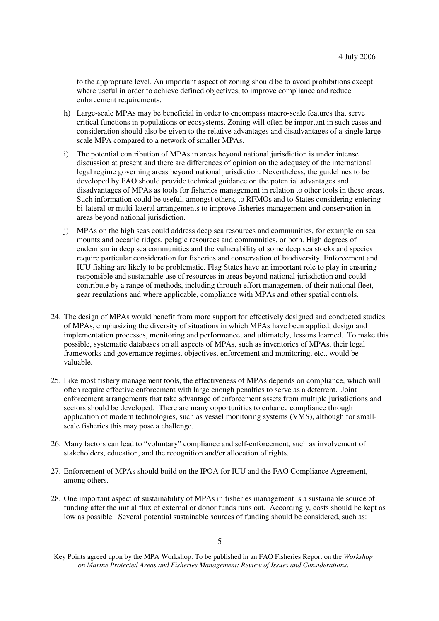to the appropriate level. An important aspect of zoning should be to avoid prohibitions except where useful in order to achieve defined objectives, to improve compliance and reduce enforcement requirements.

- h) Large-scale MPAs may be beneficial in order to encompass macro-scale features that serve critical functions in populations or ecosystems. Zoning will often be important in such cases and consideration should also be given to the relative advantages and disadvantages of a single largescale MPA compared to a network of smaller MPAs.
- i) The potential contribution of MPAs in areas beyond national jurisdiction is under intense discussion at present and there are differences of opinion on the adequacy of the international legal regime governing areas beyond national jurisdiction. Nevertheless, the guidelines to be developed by FAO should provide technical guidance on the potential advantages and disadvantages of MPAs as tools for fisheries management in relation to other tools in these areas. Such information could be useful, amongst others, to RFMOs and to States considering entering bi-lateral or multi-lateral arrangements to improve fisheries management and conservation in areas beyond national jurisdiction.
- j) MPAs on the high seas could address deep sea resources and communities, for example on sea mounts and oceanic ridges, pelagic resources and communities, or both. High degrees of endemism in deep sea communities and the vulnerability of some deep sea stocks and species require particular consideration for fisheries and conservation of biodiversity. Enforcement and IUU fishing are likely to be problematic. Flag States have an important role to play in ensuring responsible and sustainable use of resources in areas beyond national jurisdiction and could contribute by a range of methods, including through effort management of their national fleet, gear regulations and where applicable, compliance with MPAs and other spatial controls.
- 24. The design of MPAs would benefit from more support for effectively designed and conducted studies of MPAs, emphasizing the diversity of situations in which MPAs have been applied, design and implementation processes, monitoring and performance, and ultimately, lessons learned. To make this possible, systematic databases on all aspects of MPAs, such as inventories of MPAs, their legal frameworks and governance regimes, objectives, enforcement and monitoring, etc., would be valuable.
- 25. Like most fishery management tools, the effectiveness of MPAs depends on compliance, which will often require effective enforcement with large enough penalties to serve as a deterrent. Joint enforcement arrangements that take advantage of enforcement assets from multiple jurisdictions and sectors should be developed. There are many opportunities to enhance compliance through application of modern technologies, such as vessel monitoring systems (VMS), although for smallscale fisheries this may pose a challenge.
- 26. Many factors can lead to "voluntary" compliance and self-enforcement, such as involvement of stakeholders, education, and the recognition and/or allocation of rights.
- 27. Enforcement of MPAs should build on the IPOA for IUU and the FAO Compliance Agreement, among others.
- 28. One important aspect of sustainability of MPAs in fisheries management is a sustainable source of funding after the initial flux of external or donor funds runs out. Accordingly, costs should be kept as low as possible. Several potential sustainable sources of funding should be considered, such as:

-5-

Key Points agreed upon by the MPA Workshop. To be published in an FAO Fisheries Report on the *Workshop on Marine Protected Areas and Fisheries Management: Review of Issues and Considerations*.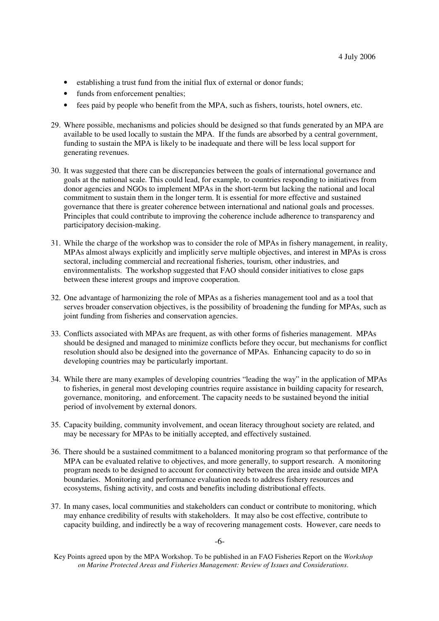- establishing a trust fund from the initial flux of external or donor funds;
- funds from enforcement penalties;
- fees paid by people who benefit from the MPA, such as fishers, tourists, hotel owners, etc.
- 29. Where possible, mechanisms and policies should be designed so that funds generated by an MPA are available to be used locally to sustain the MPA. If the funds are absorbed by a central government, funding to sustain the MPA is likely to be inadequate and there will be less local support for generating revenues.
- 30. It was suggested that there can be discrepancies between the goals of international governance and goals at the national scale. This could lead, for example, to countries responding to initiatives from donor agencies and NGOs to implement MPAs in the short-term but lacking the national and local commitment to sustain them in the longer term. It is essential for more effective and sustained governance that there is greater coherence between international and national goals and processes. Principles that could contribute to improving the coherence include adherence to transparency and participatory decision-making.
- 31. While the charge of the workshop was to consider the role of MPAs in fishery management, in reality, MPAs almost always explicitly and implicitly serve multiple objectives, and interest in MPAs is cross sectoral, including commercial and recreational fisheries, tourism, other industries, and environmentalists. The workshop suggested that FAO should consider initiatives to close gaps between these interest groups and improve cooperation.
- 32. One advantage of harmonizing the role of MPAs as a fisheries management tool and as a tool that serves broader conservation objectives, is the possibility of broadening the funding for MPAs, such as joint funding from fisheries and conservation agencies.
- 33. Conflicts associated with MPAs are frequent, as with other forms of fisheries management. MPAs should be designed and managed to minimize conflicts before they occur, but mechanisms for conflict resolution should also be designed into the governance of MPAs. Enhancing capacity to do so in developing countries may be particularly important.
- 34. While there are many examples of developing countries "leading the way" in the application of MPAs to fisheries, in general most developing countries require assistance in building capacity for research, governance, monitoring, and enforcement. The capacity needs to be sustained beyond the initial period of involvement by external donors.
- 35. Capacity building, community involvement, and ocean literacy throughout society are related, and may be necessary for MPAs to be initially accepted, and effectively sustained.
- 36. There should be a sustained commitment to a balanced monitoring program so that performance of the MPA can be evaluated relative to objectives, and more generally, to support research. A monitoring program needs to be designed to account for connectivity between the area inside and outside MPA boundaries. Monitoring and performance evaluation needs to address fishery resources and ecosystems, fishing activity, and costs and benefits including distributional effects.
- 37. In many cases, local communities and stakeholders can conduct or contribute to monitoring, which may enhance credibility of results with stakeholders. It may also be cost effective, contribute to capacity building, and indirectly be a way of recovering management costs. However, care needs to

-6-

Key Points agreed upon by the MPA Workshop. To be published in an FAO Fisheries Report on the *Workshop on Marine Protected Areas and Fisheries Management: Review of Issues and Considerations*.